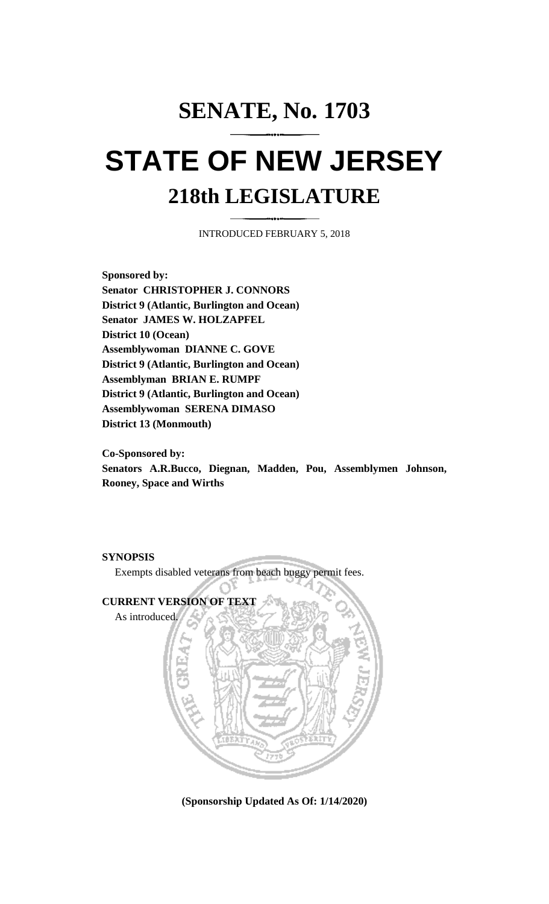## **SENATE, No. 1703 STATE OF NEW JERSEY 218th LEGISLATURE**

INTRODUCED FEBRUARY 5, 2018

**Sponsored by: Senator CHRISTOPHER J. CONNORS District 9 (Atlantic, Burlington and Ocean) Senator JAMES W. HOLZAPFEL District 10 (Ocean) Assemblywoman DIANNE C. GOVE District 9 (Atlantic, Burlington and Ocean) Assemblyman BRIAN E. RUMPF District 9 (Atlantic, Burlington and Ocean) Assemblywoman SERENA DIMASO District 13 (Monmouth)**

**Co-Sponsored by:**

**Senators A.R.Bucco, Diegnan, Madden, Pou, Assemblymen Johnson, Rooney, Space and Wirths**



**(Sponsorship Updated As Of: 1/14/2020)**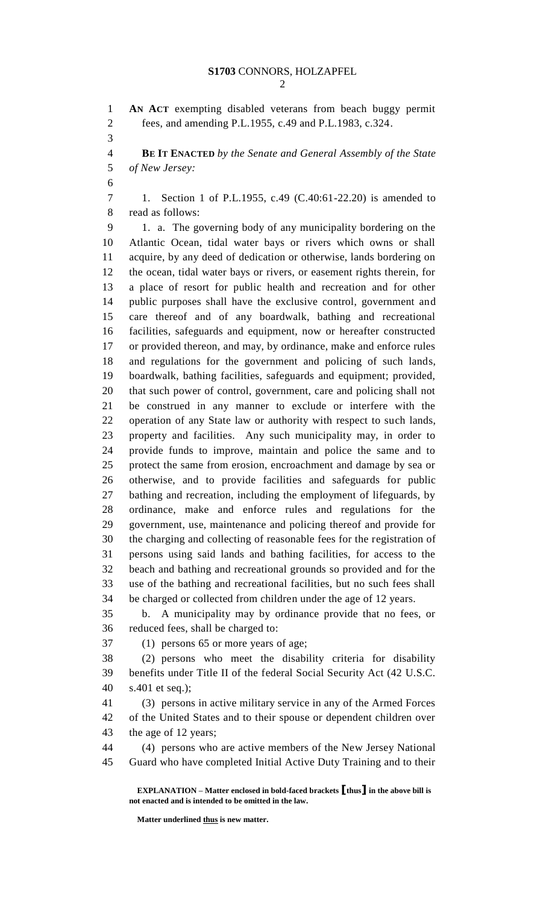**AN ACT** exempting disabled veterans from beach buggy permit fees, and amending P.L.1955, c.49 and P.L.1983, c.324. **BE IT ENACTED** *by the Senate and General Assembly of the State of New Jersey:* 1. Section 1 of P.L.1955, c.49 (C.40:61-22.20) is amended to read as follows: 1. a. The governing body of any municipality bordering on the Atlantic Ocean, tidal water bays or rivers which owns or shall acquire, by any deed of dedication or otherwise, lands bordering on the ocean, tidal water bays or rivers, or easement rights therein, for a place of resort for public health and recreation and for other public purposes shall have the exclusive control, government and care thereof and of any boardwalk, bathing and recreational facilities, safeguards and equipment, now or hereafter constructed or provided thereon, and may, by ordinance, make and enforce rules and regulations for the government and policing of such lands, boardwalk, bathing facilities, safeguards and equipment; provided, that such power of control, government, care and policing shall not be construed in any manner to exclude or interfere with the operation of any State law or authority with respect to such lands, property and facilities. Any such municipality may, in order to provide funds to improve, maintain and police the same and to protect the same from erosion, encroachment and damage by sea or otherwise, and to provide facilities and safeguards for public bathing and recreation, including the employment of lifeguards, by ordinance, make and enforce rules and regulations for the government, use, maintenance and policing thereof and provide for the charging and collecting of reasonable fees for the registration of persons using said lands and bathing facilities, for access to the beach and bathing and recreational grounds so provided and for the use of the bathing and recreational facilities, but no such fees shall be charged or collected from children under the age of 12 years. b. A municipality may by ordinance provide that no fees, or reduced fees, shall be charged to: (1) persons 65 or more years of age; (2) persons who meet the disability criteria for disability benefits under Title II of the federal Social Security Act (42 U.S.C. s.401 et seq.); (3) persons in active military service in any of the Armed Forces of the United States and to their spouse or dependent children over the age of 12 years; (4) persons who are active members of the New Jersey National Guard who have completed Initial Active Duty Training and to their

**Matter underlined thus is new matter.**

**EXPLANATION – Matter enclosed in bold-faced brackets [thus] in the above bill is not enacted and is intended to be omitted in the law.**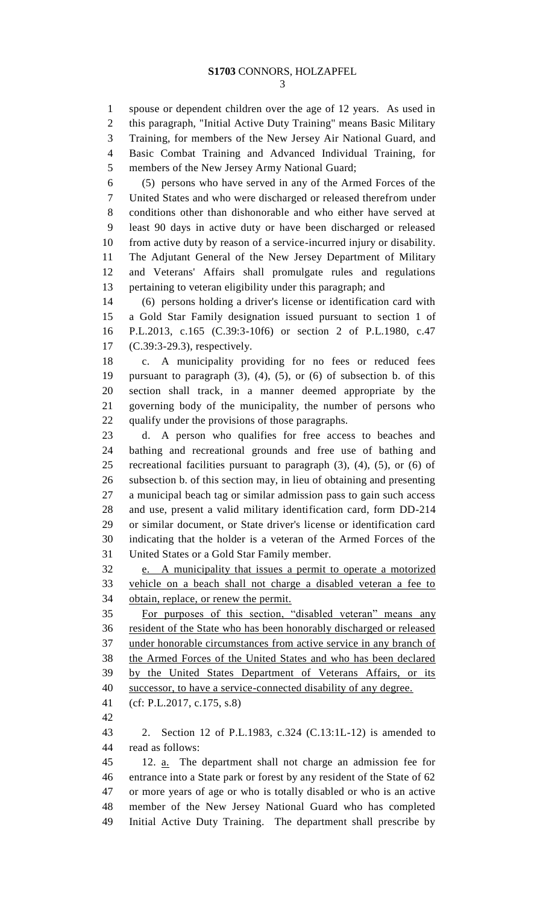spouse or dependent children over the age of 12 years. As used in this paragraph, "Initial Active Duty Training" means Basic Military Training, for members of the New Jersey Air National Guard, and Basic Combat Training and Advanced Individual Training, for members of the New Jersey Army National Guard;

 (5) persons who have served in any of the Armed Forces of the United States and who were discharged or released therefrom under conditions other than dishonorable and who either have served at least 90 days in active duty or have been discharged or released from active duty by reason of a service-incurred injury or disability. The Adjutant General of the New Jersey Department of Military and Veterans' Affairs shall promulgate rules and regulations pertaining to veteran eligibility under this paragraph; and

 (6) persons holding a driver's license or identification card with a Gold Star Family designation issued pursuant to section 1 of P.L.2013, c.165 (C.39:3-10f6) or section 2 of P.L.1980, c.47 (C.39:3-29.3), respectively.

 c. A municipality providing for no fees or reduced fees pursuant to paragraph (3), (4), (5), or (6) of subsection b. of this section shall track, in a manner deemed appropriate by the governing body of the municipality, the number of persons who qualify under the provisions of those paragraphs.

 d. A person who qualifies for free access to beaches and bathing and recreational grounds and free use of bathing and recreational facilities pursuant to paragraph (3), (4), (5), or (6) of subsection b. of this section may, in lieu of obtaining and presenting a municipal beach tag or similar admission pass to gain such access and use, present a valid military identification card, form DD-214 or similar document, or State driver's license or identification card indicating that the holder is a veteran of the Armed Forces of the United States or a Gold Star Family member.

 e. A municipality that issues a permit to operate a motorized vehicle on a beach shall not charge a disabled veteran a fee to obtain, replace, or renew the permit.

 For purposes of this section, "disabled veteran" means any resident of the State who has been honorably discharged or released under honorable circumstances from active service in any branch of the Armed Forces of the United States and who has been declared by the United States Department of Veterans Affairs, or its successor, to have a service-connected disability of any degree.

(cf: P.L.2017, c.175, s.8)

 2. Section 12 of P.L.1983, c.324 (C.13:1L-12) is amended to read as follows:

 12. a. The department shall not charge an admission fee for entrance into a State park or forest by any resident of the State of 62 or more years of age or who is totally disabled or who is an active member of the New Jersey National Guard who has completed Initial Active Duty Training. The department shall prescribe by